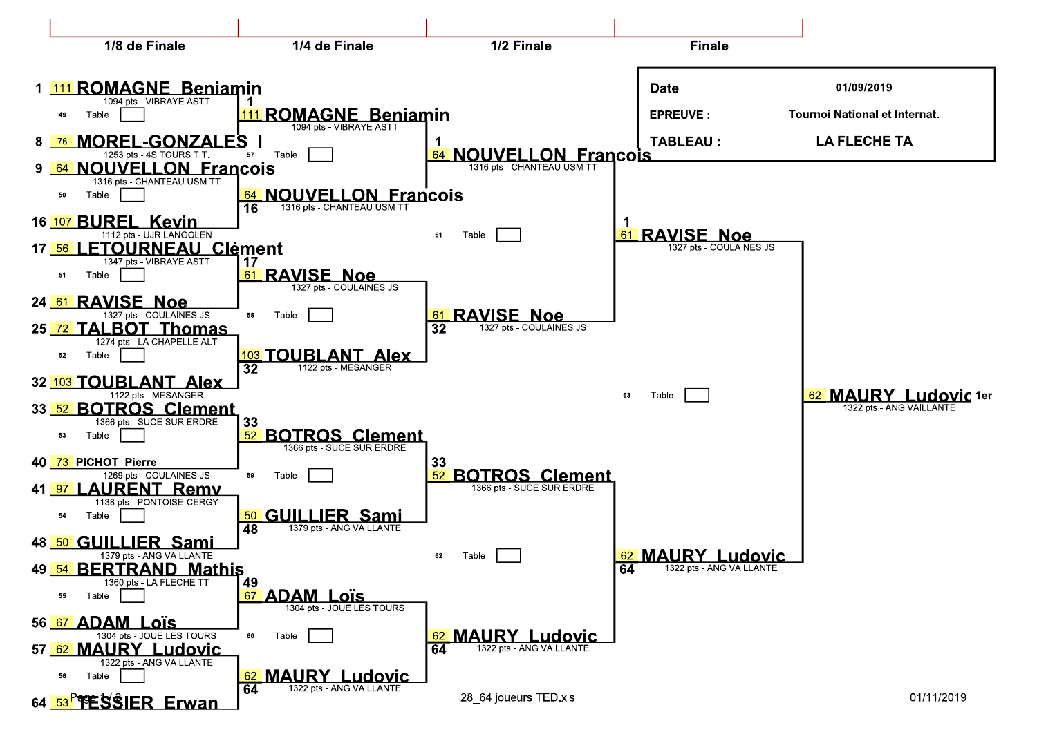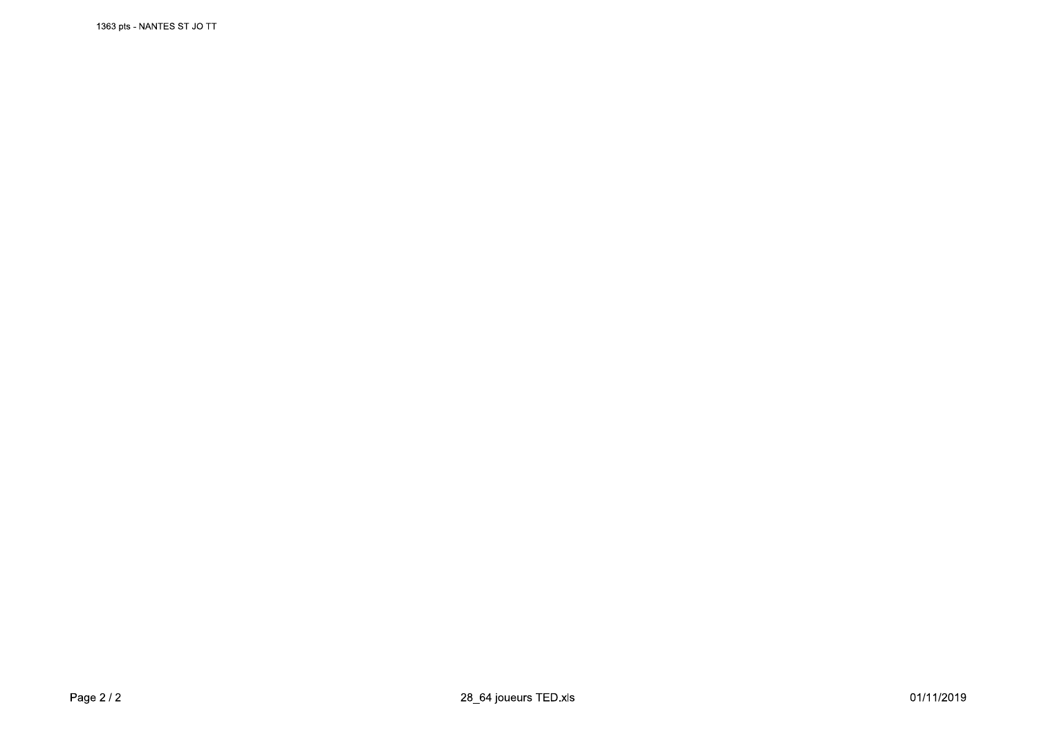1363 pts - NANTES ST JO TT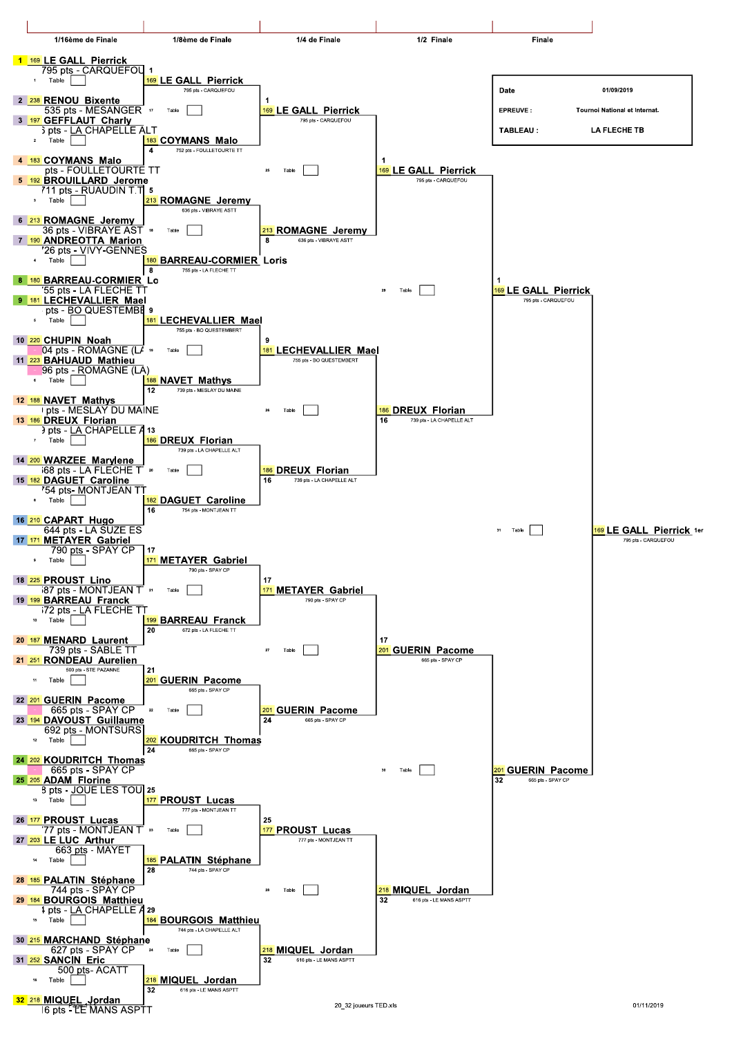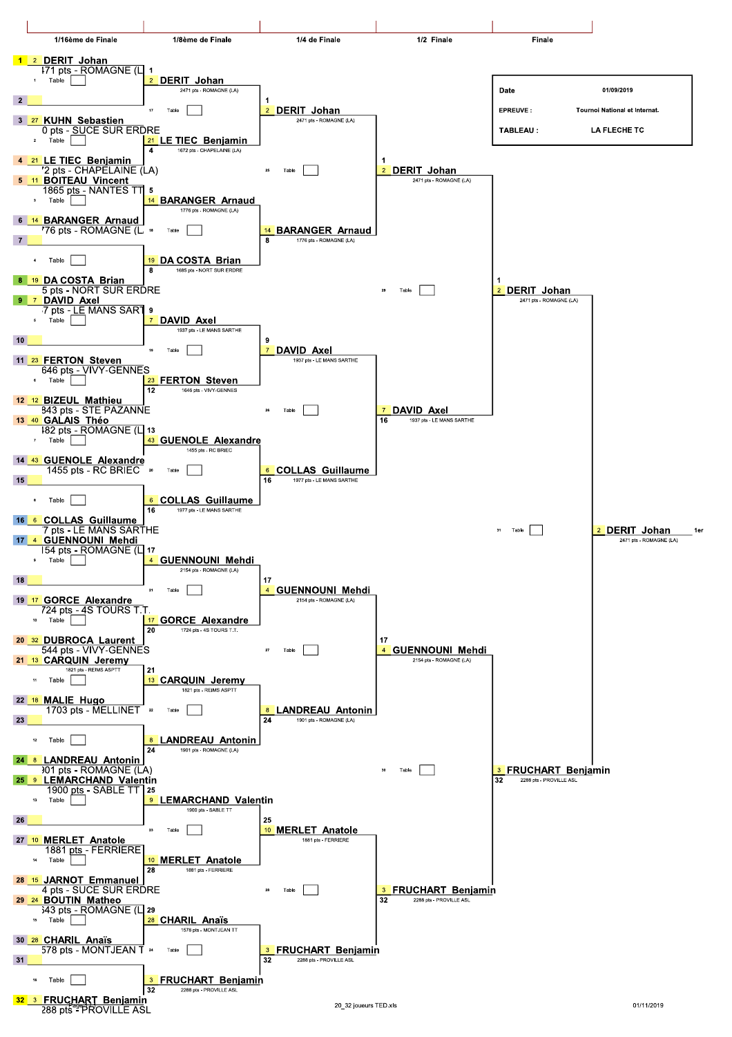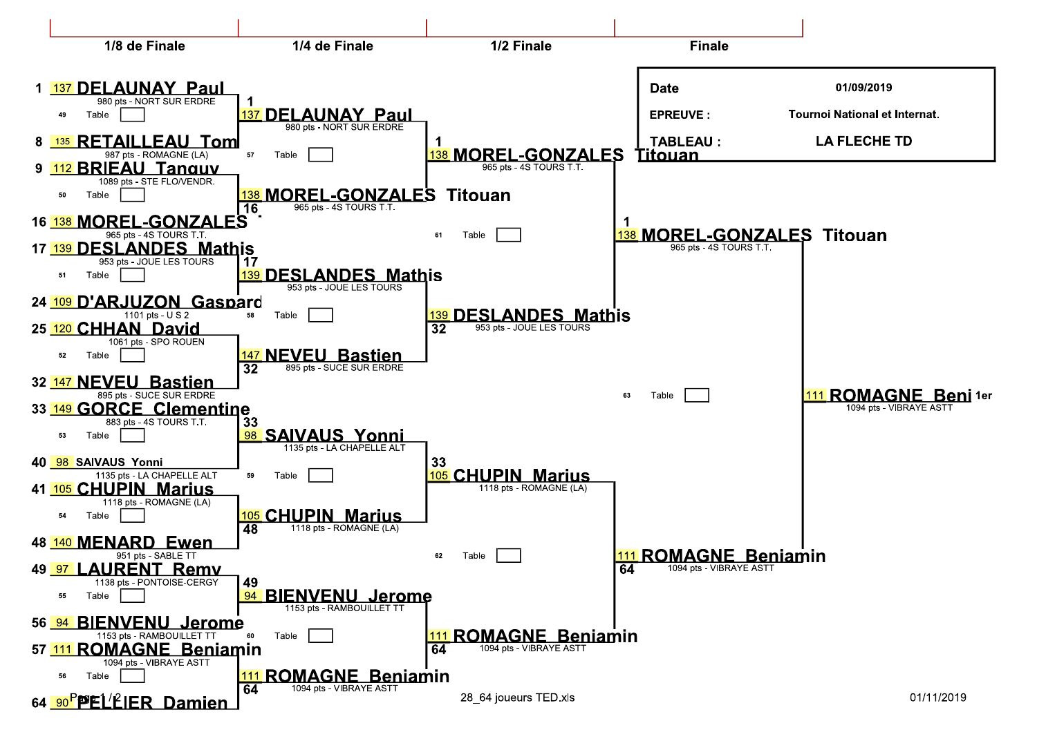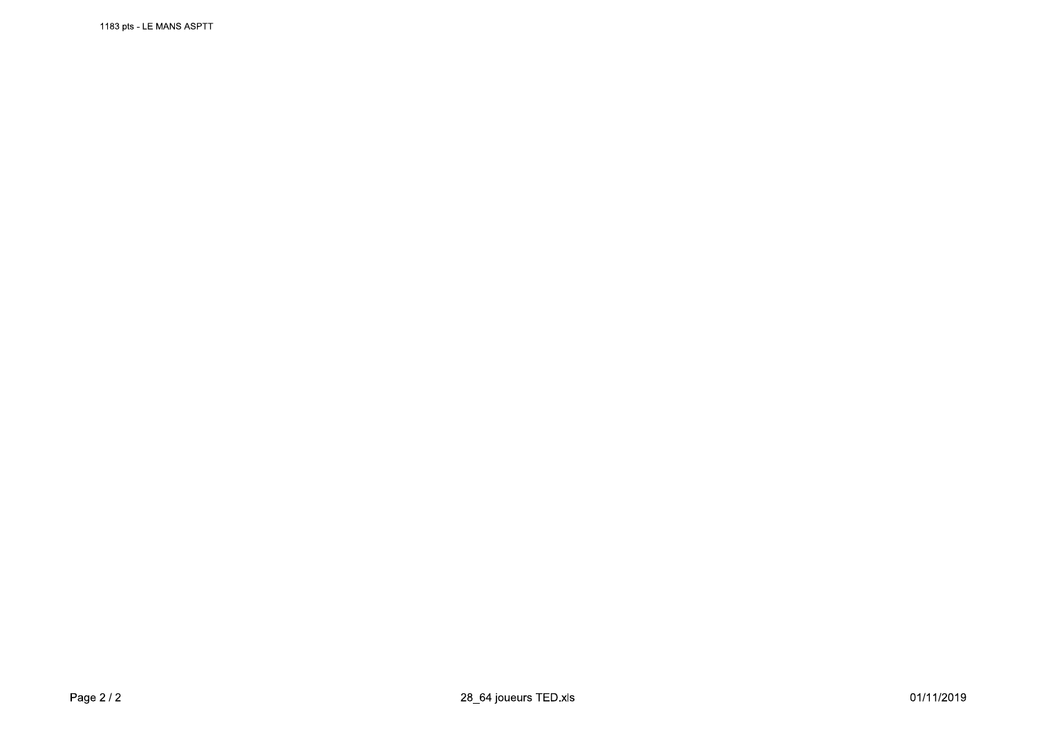1183 pts - LE MANS ASPTT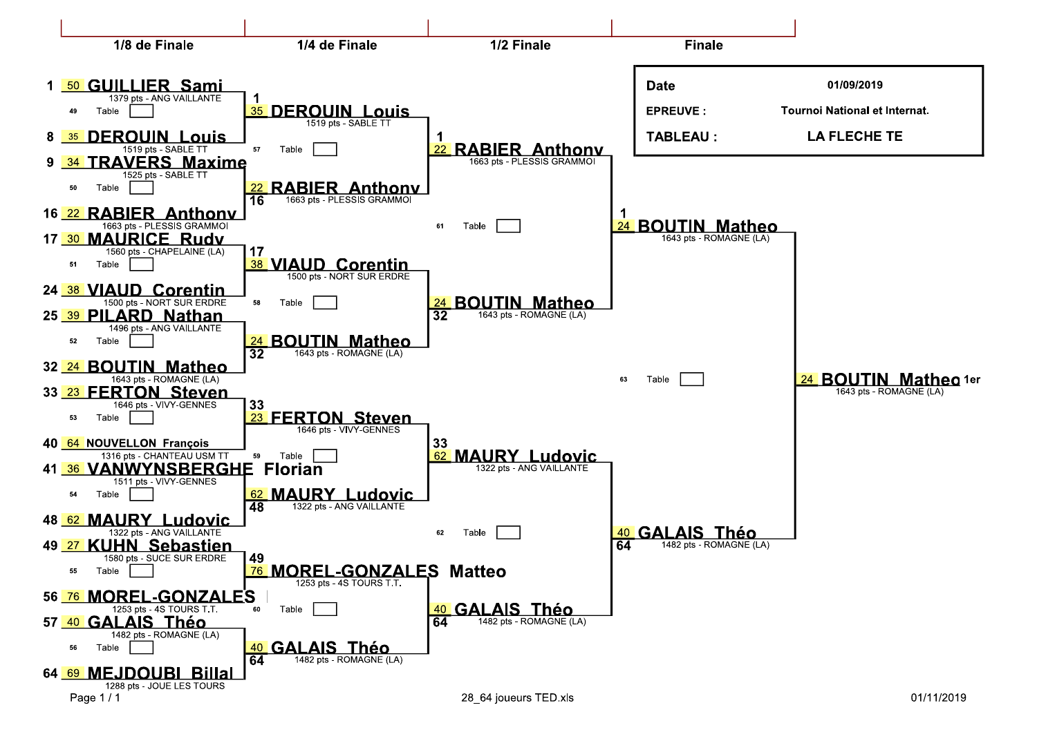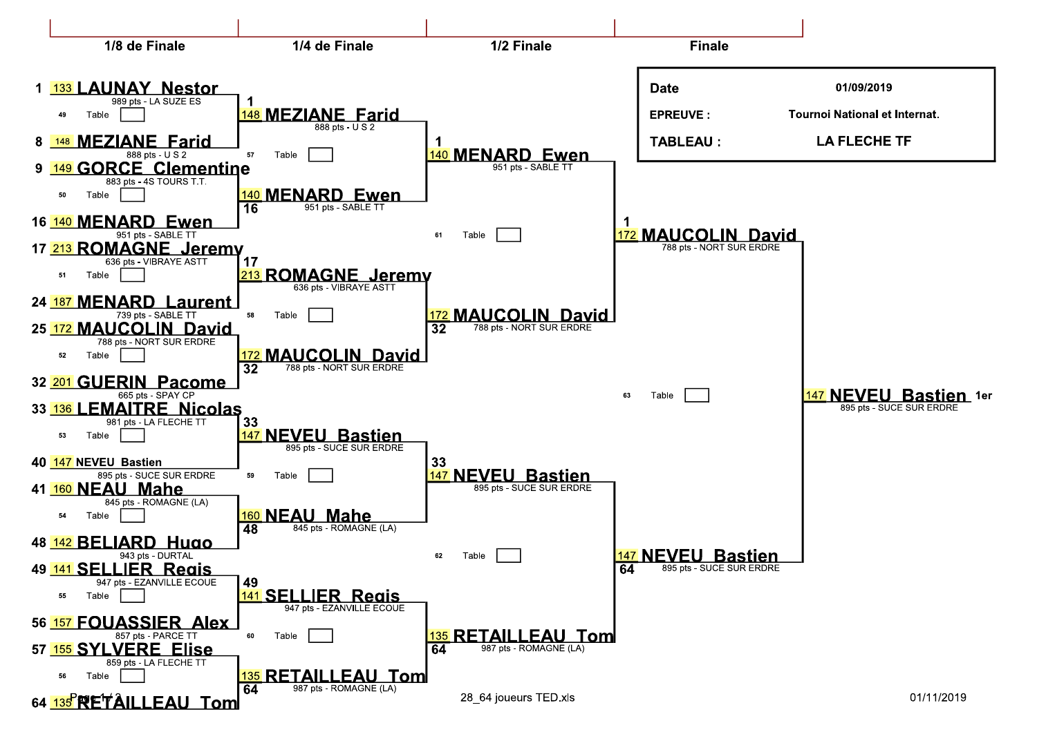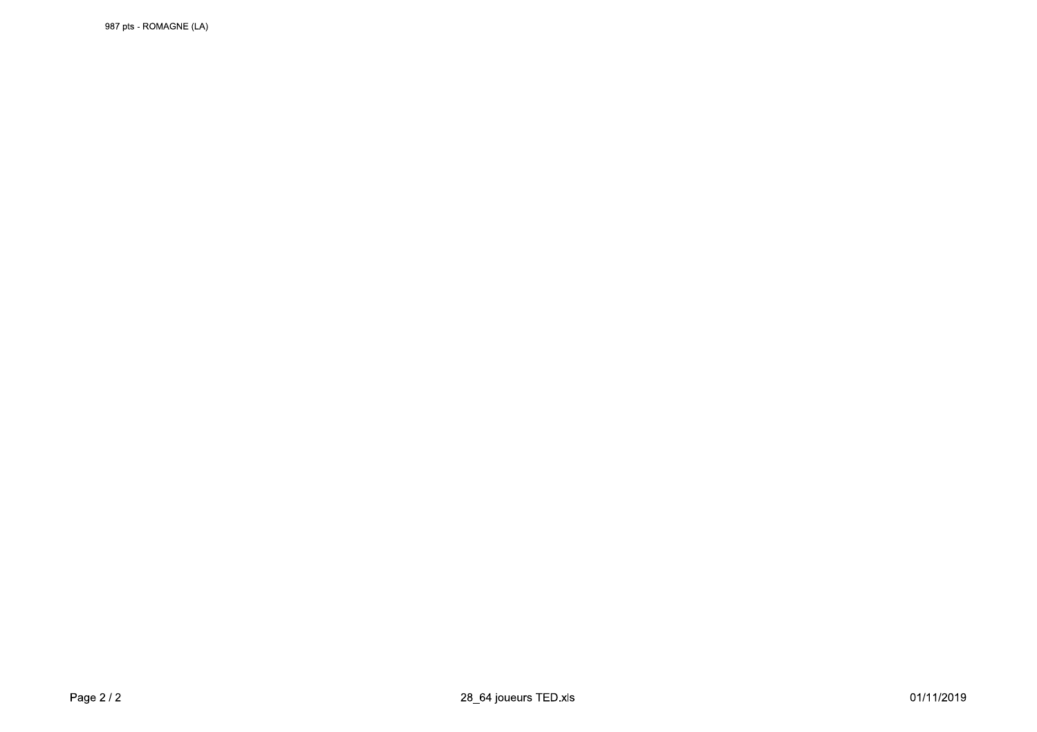987 pts - ROMAGNE (LA)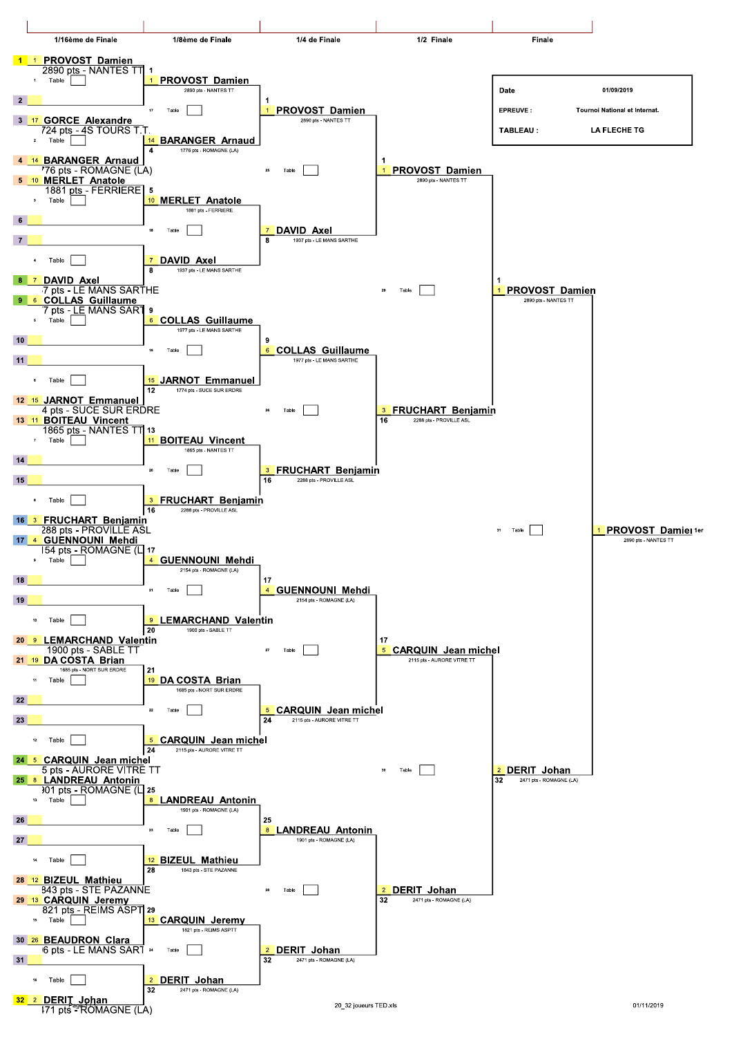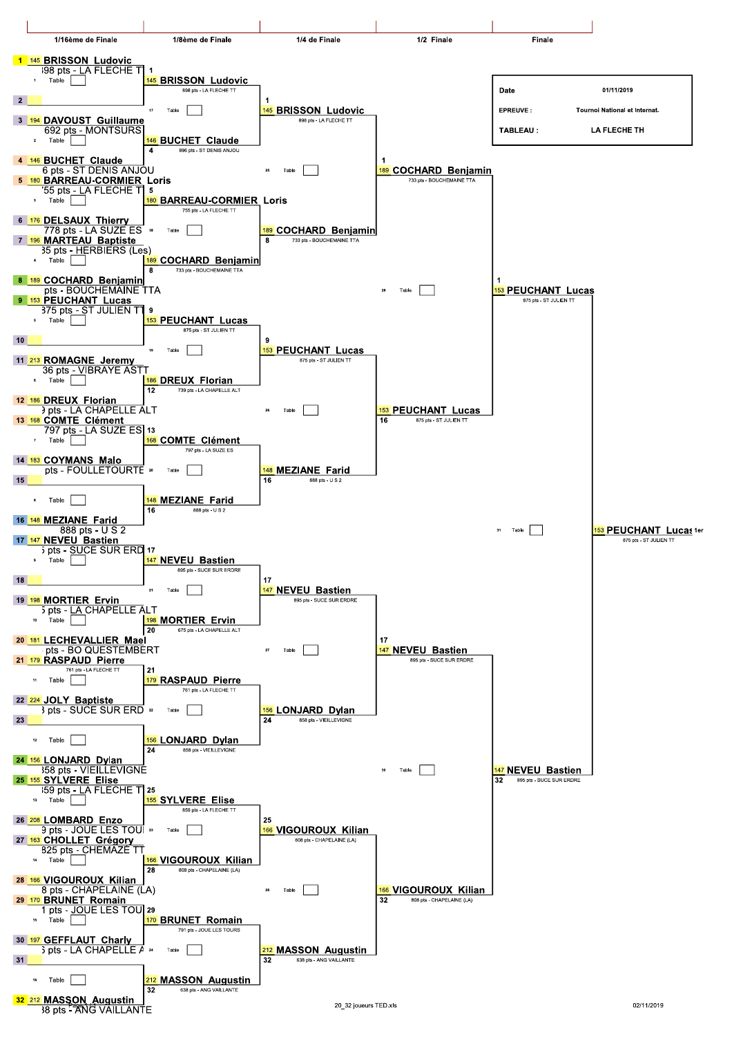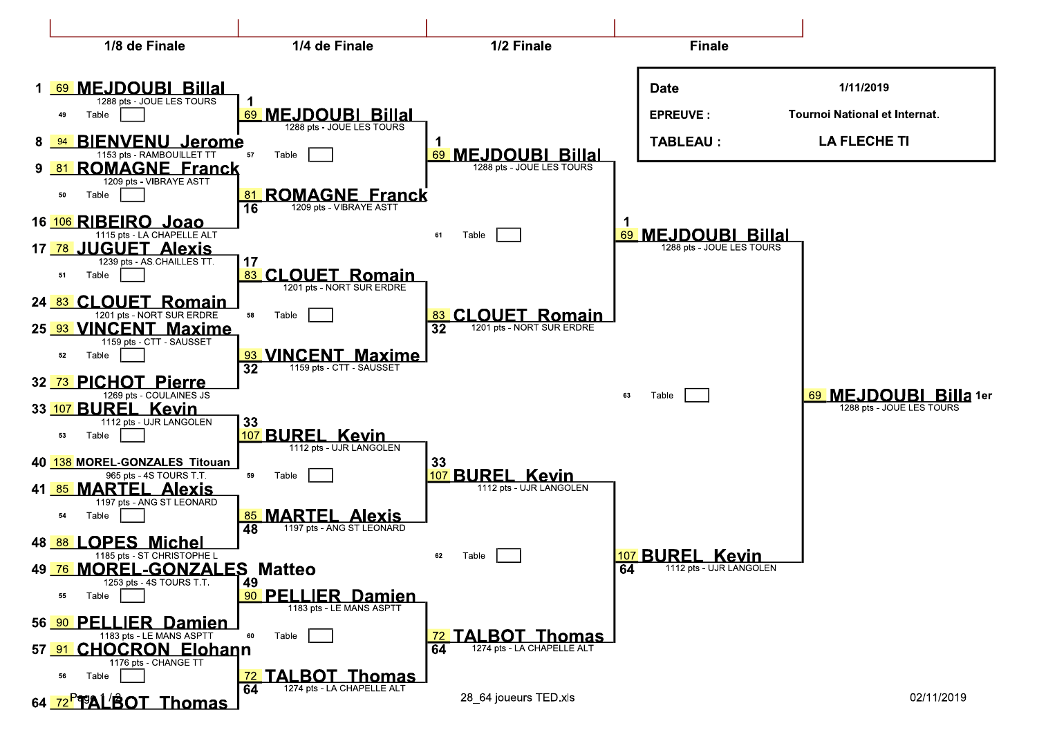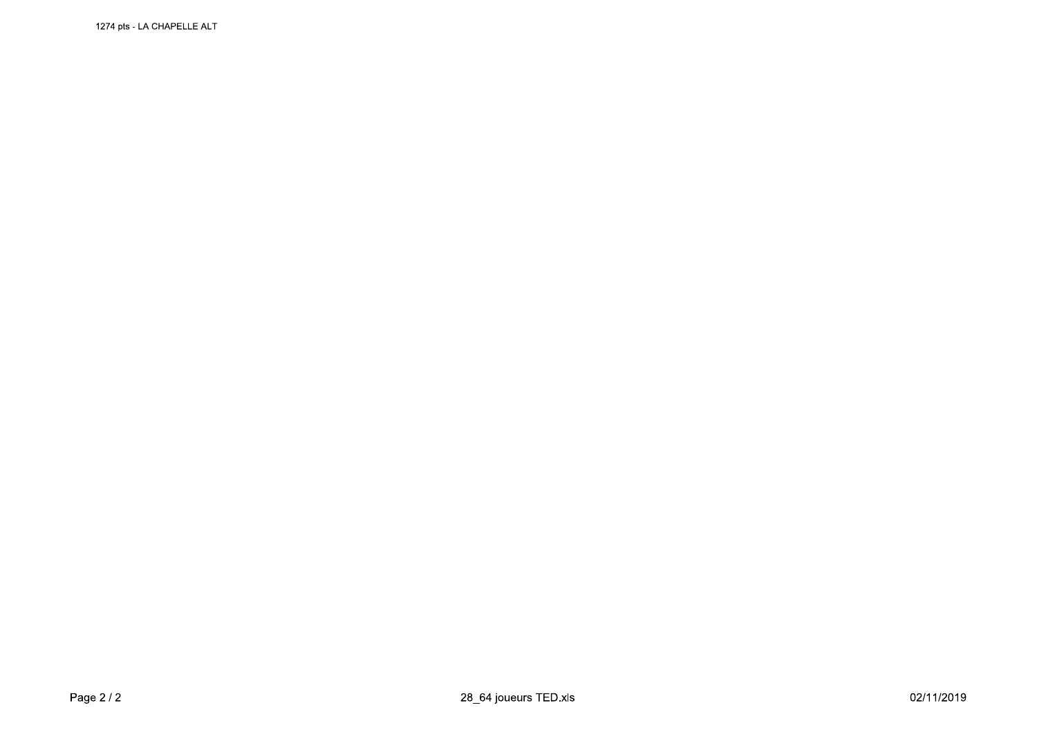1274 pts - LA CHAPELLE ALT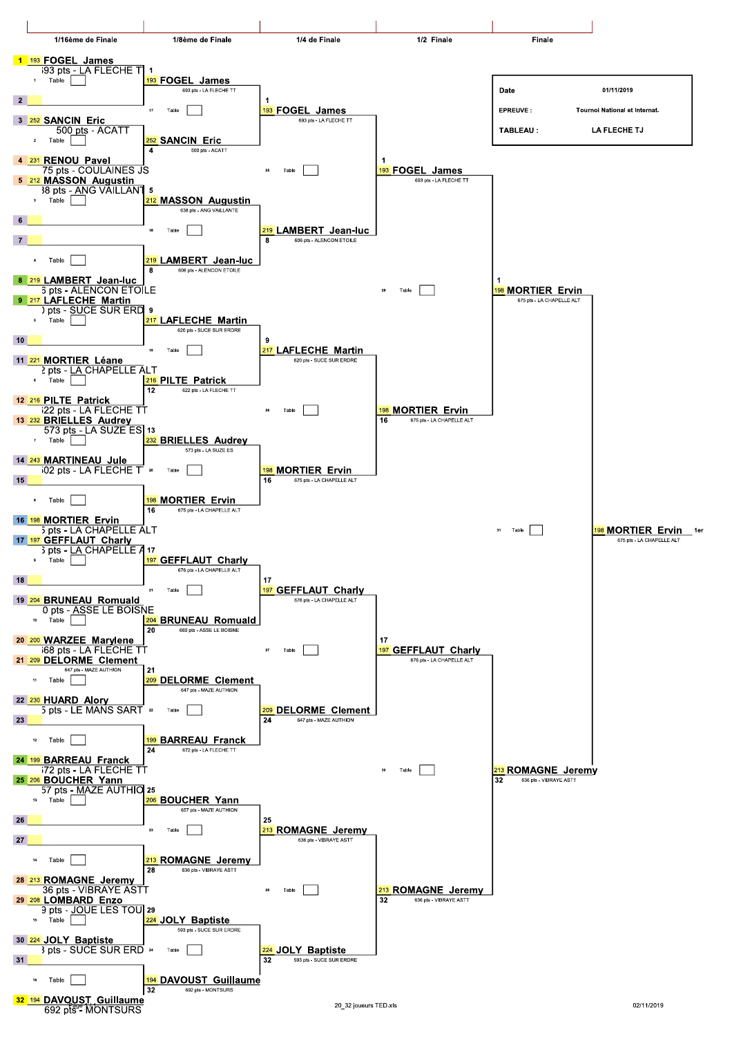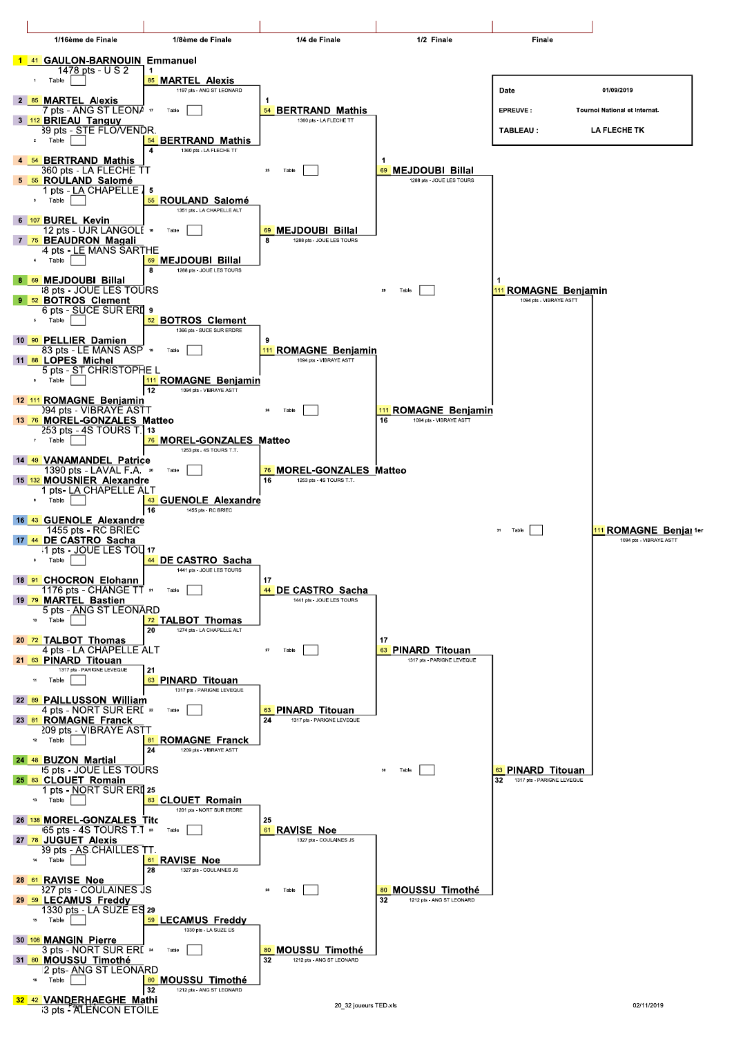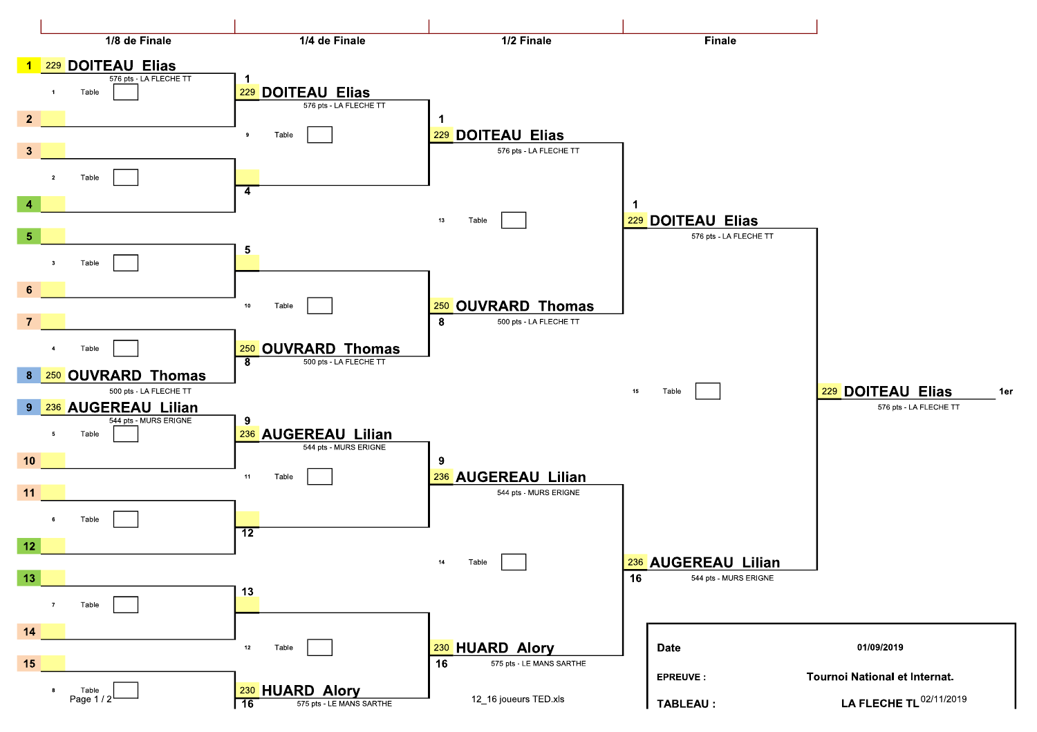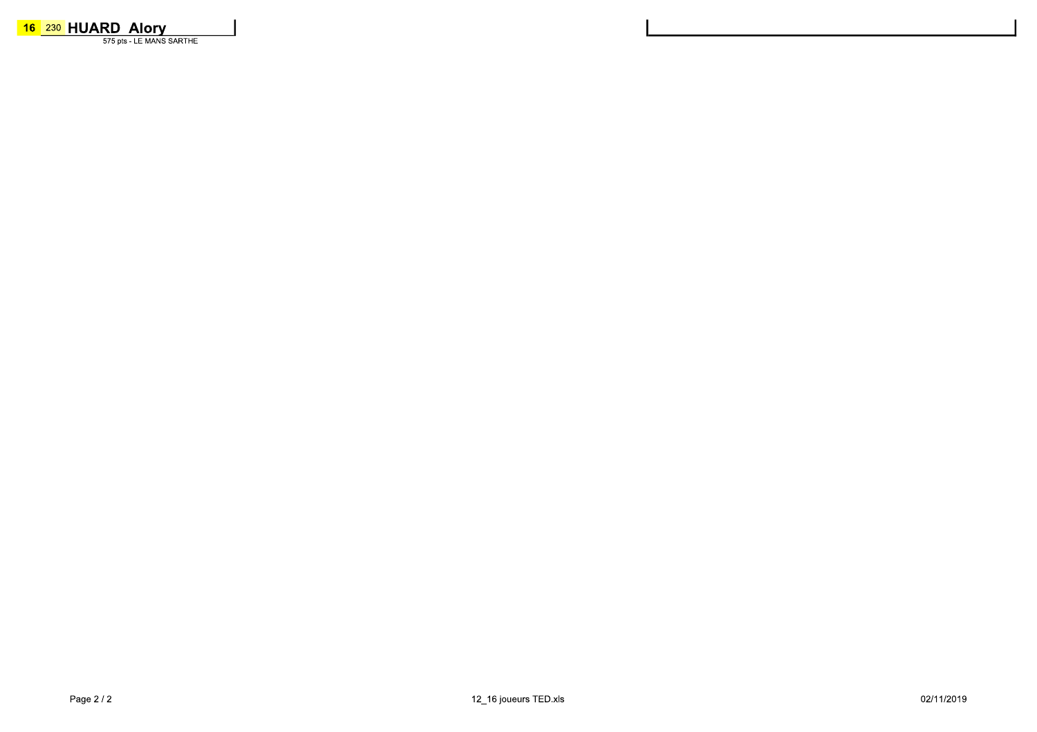16 230 HUARD Alory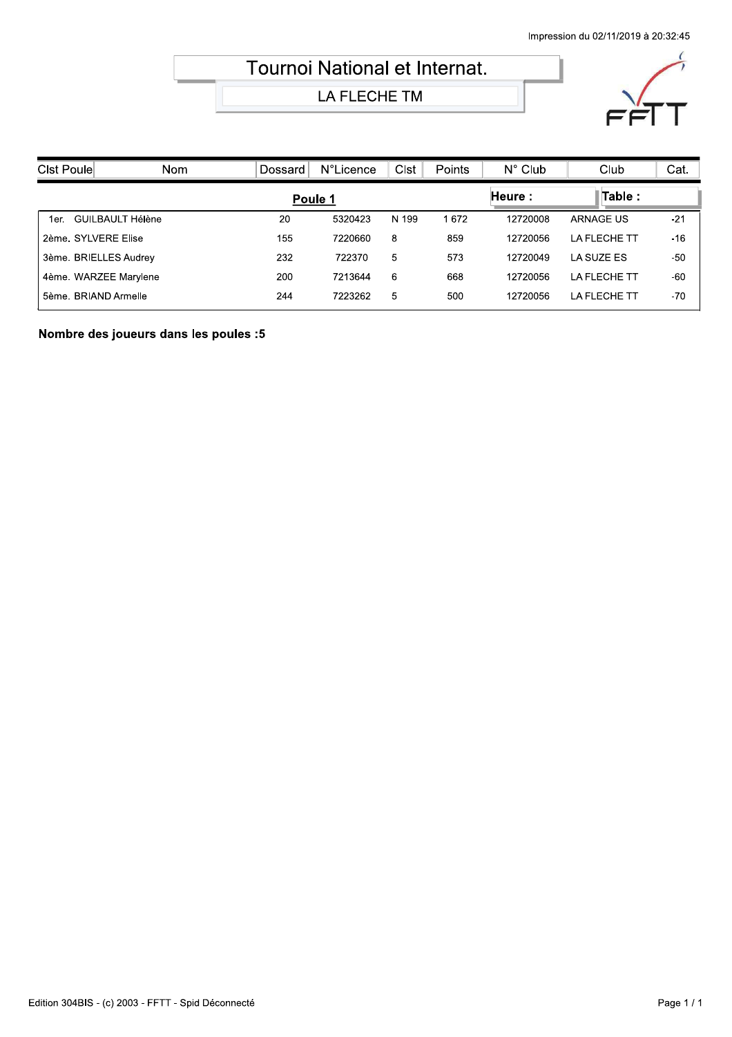## Tournoi National et Internat.

LA FLECHE TM



| Clst Poule               | Nom | Dossard | <b>N°Licence</b> | <b>Clst</b> | Points | $N^{\circ}$ Club | Club                | Cat.  |
|--------------------------|-----|---------|------------------|-------------|--------|------------------|---------------------|-------|
|                          |     | Poule 1 |                  |             |        | Heure :          | Table:              |       |
| GUILBAULT Hélène<br>1er. |     | 20      | 5320423          | N 199       | 1672   | 12720008         | ARNAGE US           | $-21$ |
| 2ème, SYLVERE Elise      |     | 155     | 7220660          | 8           | 859    | 12720056         | <b>LA FLECHE TT</b> | $-16$ |
| 3ème. BRIELLES Audrey    |     | 232     | 722370           | 5           | 573    | 12720049         | LA SUZE ES          | $-50$ |
| 4ème. WARZEE Marylene    |     | 200     | 7213644          | 6           | 668    | 12720056         | LA FLECHE TT        | $-60$ |
| 5ème. BRIAND Armelle     |     | 244     | 7223262          | 5           | 500    | 12720056         | <b>LA FLECHE TT</b> | $-70$ |

Nombre des joueurs dans les poules :5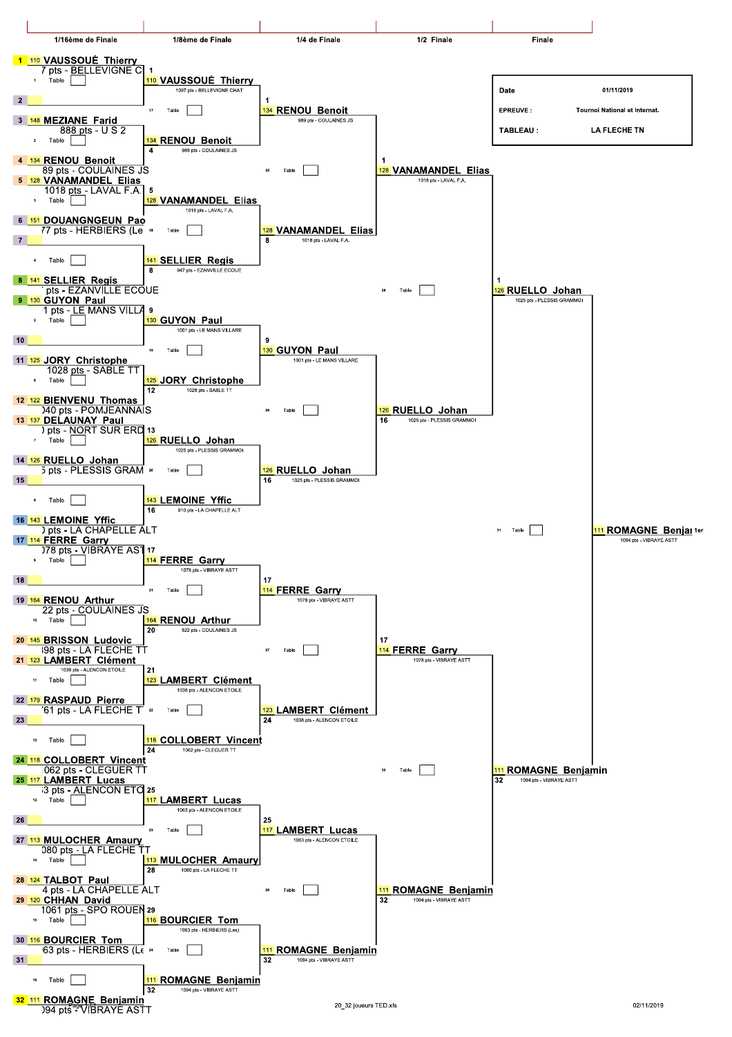